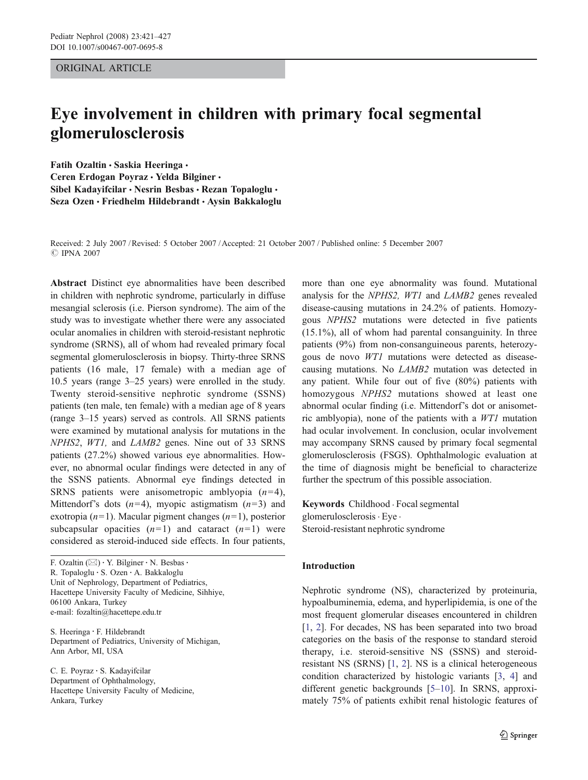## ORIGINAL ARTICLE

# Eye involvement in children with primary focal segmental glomerulosclerosis

Fatih Ozaltin · Saskia Heeringa · Ceren Erdogan Poyraz · Yelda Bilginer · Sibel Kadavifcilar • Nesrin Besbas • Rezan Topaloglu • Seza Ozen · Friedhelm Hildebrandt · Aysin Bakkaloglu

Received: 2 July 2007 /Revised: 5 October 2007 /Accepted: 21 October 2007 / Published online: 5 December 2007 *#* IPNA 2007

Abstract Distinct eye abnormalities have been described in children with nephrotic syndrome, particularly in diffuse mesangial sclerosis (i.e. Pierson syndrome). The aim of the study was to investigate whether there were any associated ocular anomalies in children with steroid-resistant nephrotic syndrome (SRNS), all of whom had revealed primary focal segmental glomerulosclerosis in biopsy. Thirty-three SRNS patients (16 male, 17 female) with a median age of 10.5 years (range 3–25 years) were enrolled in the study. Twenty steroid-sensitive nephrotic syndrome (SSNS) patients (ten male, ten female) with a median age of 8 years (range 3–15 years) served as controls. All SRNS patients were examined by mutational analysis for mutations in the NPHS2, WT1, and LAMB2 genes. Nine out of 33 SRNS patients (27.2%) showed various eye abnormalities. However, no abnormal ocular findings were detected in any of the SSNS patients. Abnormal eye findings detected in SRNS patients were anisometropic amblyopia  $(n=4)$ , Mittendorf's dots  $(n=4)$ , myopic astigmatism  $(n=3)$  and exotropia ( $n=1$ ). Macular pigment changes ( $n=1$ ), posterior subcapsular opacities  $(n=1)$  and cataract  $(n=1)$  were considered as steroid-induced side effects. In four patients,

F. Ozaltin ( $\boxtimes$ ) · Y. Bilginer · N. Besbas · R. Topaloglu : S. Ozen : A. Bakkaloglu Unit of Nephrology, Department of Pediatrics, Hacettepe University Faculty of Medicine, Sihhiye, 06100 Ankara, Turkey e-mail: fozaltin@hacettepe.edu.tr

S. Heeringa : F. Hildebrandt Department of Pediatrics, University of Michigan, Ann Arbor, MI, USA

C. E. Poyraz : S. Kadayifcilar Department of Ophthalmology, Hacettepe University Faculty of Medicine, Ankara, Turkey

more than one eye abnormality was found. Mutational analysis for the NPHS2, WT1 and LAMB2 genes revealed disease-causing mutations in 24.2% of patients. Homozygous NPHS2 mutations were detected in five patients (15.1%), all of whom had parental consanguinity. In three patients (9%) from non-consanguineous parents, heterozygous de novo WT1 mutations were detected as diseasecausing mutations. No LAMB2 mutation was detected in any patient. While four out of five (80%) patients with homozygous NPHS2 mutations showed at least one abnormal ocular finding (i.e. Mittendorf's dot or anisometric amblyopia), none of the patients with a WT1 mutation had ocular involvement. In conclusion, ocular involvement may accompany SRNS caused by primary focal segmental glomerulosclerosis (FSGS). Ophthalmologic evaluation at the time of diagnosis might be beneficial to characterize further the spectrum of this possible association.

Keywords Childhood . Focal segmental glomerulosclerosis. Eye . Steroid-resistant nephrotic syndrome

## Introduction

Nephrotic syndrome (NS), characterized by proteinuria, hypoalbuminemia, edema, and hyperlipidemia, is one of the most frequent glomerular diseases encountered in children [\[1](#page-5-0), [2](#page-5-0)]. For decades, NS has been separated into two broad categories on the basis of the response to standard steroid therapy, i.e. steroid-sensitive NS (SSNS) and steroidresistant NS (SRNS) [\[1](#page-5-0), [2](#page-5-0)]. NS is a clinical heterogeneous condition characterized by histologic variants [\[3](#page-5-0), [4\]](#page-5-0) and different genetic backgrounds [[5](#page-5-0)–[10\]](#page-6-0). In SRNS, approximately 75% of patients exhibit renal histologic features of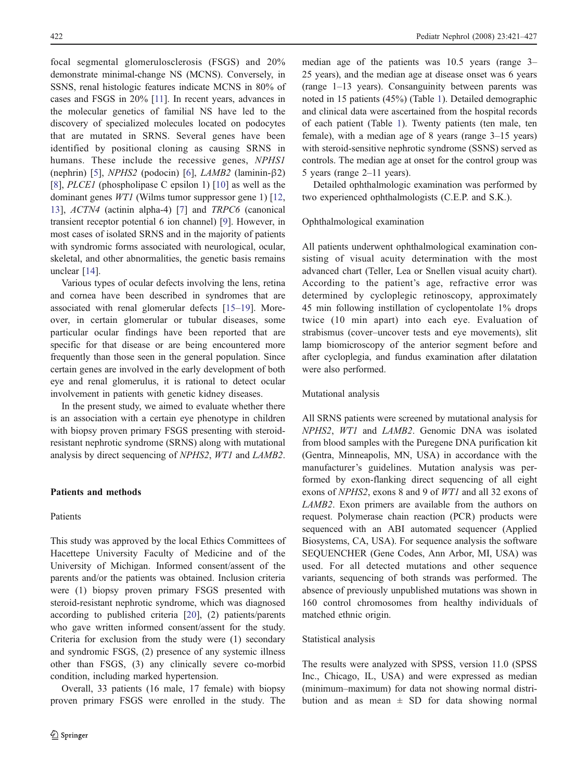focal segmental glomerulosclerosis (FSGS) and 20% demonstrate minimal-change NS (MCNS). Conversely, in SSNS, renal histologic features indicate MCNS in 80% of cases and FSGS in 20% [[11](#page-6-0)]. In recent years, advances in the molecular genetics of familial NS have led to the discovery of specialized molecules located on podocytes that are mutated in SRNS. Several genes have been identified by positional cloning as causing SRNS in humans. These include the recessive genes, NPHS1 (nephrin) [[5\]](#page-5-0), NPHS2 (podocin) [[6\]](#page-5-0), LAMB2 (laminin-β2) [\[8](#page-5-0)], *PLCE1* (phospholipase C epsilon 1) [[10\]](#page-6-0) as well as the dominant genes WT1 (Wilms tumor suppressor gene 1) [[12,](#page-6-0) [13](#page-6-0)], ACTN4 (actinin alpha-4) [[7\]](#page-5-0) and TRPC6 (canonical transient receptor potential 6 ion channel) [[9\]](#page-6-0). However, in most cases of isolated SRNS and in the majority of patients with syndromic forms associated with neurological, ocular, skeletal, and other abnormalities, the genetic basis remains unclear [[14\]](#page-6-0).

Various types of ocular defects involving the lens, retina and cornea have been described in syndromes that are associated with renal glomerular defects [[15](#page-6-0)–[19\]](#page-6-0). Moreover, in certain glomerular or tubular diseases, some particular ocular findings have been reported that are specific for that disease or are being encountered more frequently than those seen in the general population. Since certain genes are involved in the early development of both eye and renal glomerulus, it is rational to detect ocular involvement in patients with genetic kidney diseases.

In the present study, we aimed to evaluate whether there is an association with a certain eye phenotype in children with biopsy proven primary FSGS presenting with steroidresistant nephrotic syndrome (SRNS) along with mutational analysis by direct sequencing of NPHS2, WT1 and LAMB2.

## Patients and methods

## Patients

This study was approved by the local Ethics Committees of Hacettepe University Faculty of Medicine and of the University of Michigan. Informed consent/assent of the parents and/or the patients was obtained. Inclusion criteria were (1) biopsy proven primary FSGS presented with steroid-resistant nephrotic syndrome, which was diagnosed according to published criteria [\[20](#page-6-0)], (2) patients/parents who gave written informed consent/assent for the study. Criteria for exclusion from the study were (1) secondary and syndromic FSGS, (2) presence of any systemic illness other than FSGS, (3) any clinically severe co-morbid condition, including marked hypertension.

Overall, 33 patients (16 male, 17 female) with biopsy proven primary FSGS were enrolled in the study. The median age of the patients was 10.5 years (range 3– 25 years), and the median age at disease onset was 6 years (range 1–13 years). Consanguinity between parents was noted in 15 patients (45%) (Table [1\)](#page-2-0). Detailed demographic and clinical data were ascertained from the hospital records of each patient (Table [1](#page-2-0)). Twenty patients (ten male, ten female), with a median age of 8 years (range 3–15 years) with steroid-sensitive nephrotic syndrome (SSNS) served as controls. The median age at onset for the control group was 5 years (range 2–11 years).

Detailed ophthalmologic examination was performed by two experienced ophthalmologists (C.E.P. and S.K.).

#### Ophthalmological examination

All patients underwent ophthalmological examination consisting of visual acuity determination with the most advanced chart (Teller, Lea or Snellen visual acuity chart). According to the patient's age, refractive error was determined by cycloplegic retinoscopy, approximately 45 min following instillation of cyclopentolate 1% drops twice (10 min apart) into each eye. Evaluation of strabismus (cover–uncover tests and eye movements), slit lamp biomicroscopy of the anterior segment before and after cycloplegia, and fundus examination after dilatation were also performed.

#### Mutational analysis

All SRNS patients were screened by mutational analysis for NPHS2, WT1 and LAMB2. Genomic DNA was isolated from blood samples with the Puregene DNA purification kit (Gentra, Minneapolis, MN, USA) in accordance with the manufacturer's guidelines. Mutation analysis was performed by exon-flanking direct sequencing of all eight exons of NPHS2, exons 8 and 9 of WT1 and all 32 exons of LAMB2. Exon primers are available from the authors on request. Polymerase chain reaction (PCR) products were sequenced with an ABI automated sequencer (Applied Biosystems, CA, USA). For sequence analysis the software SEQUENCHER (Gene Codes, Ann Arbor, MI, USA) was used. For all detected mutations and other sequence variants, sequencing of both strands was performed. The absence of previously unpublished mutations was shown in 160 control chromosomes from healthy individuals of matched ethnic origin.

## Statistical analysis

The results were analyzed with SPSS, version 11.0 (SPSS Inc., Chicago, IL, USA) and were expressed as median (minimum–maximum) for data not showing normal distribution and as mean  $\pm$  SD for data showing normal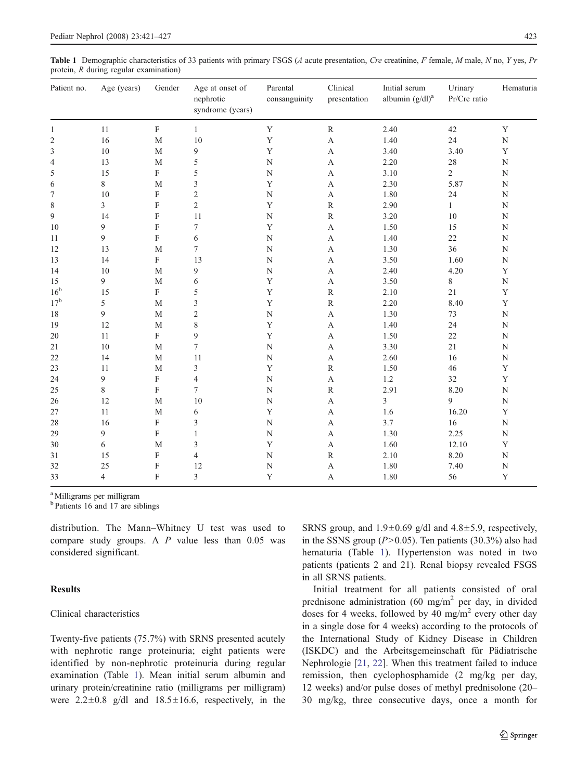<span id="page-2-0"></span>Table 1 Demographic characteristics of 33 patients with primary FSGS (A acute presentation, Cre creatinine, F female, M male, N no, Y yes, Pr protein, R during regular examination)

| Patient no.     | Age (years)    | Gender      | Age at onset of<br>nephrotic<br>syndrome (years) | Parental<br>consanguinity | Clinical<br>presentation | Initial serum<br>albumin $(g/dl)^a$ | Urinary<br>Pr/Cre ratio | Hematuria   |
|-----------------|----------------|-------------|--------------------------------------------------|---------------------------|--------------------------|-------------------------------------|-------------------------|-------------|
| $\mathbf{1}$    | 11             | ${\bf F}$   | $\mathbf{1}$                                     | $\mathbf Y$               | $\mathbb{R}$             | 2.40                                | 42                      | $\mathbf Y$ |
| 2               | 16             | $\mathbf M$ | 10                                               | Y                         | $\mathbf{A}$             | 1.40                                | 24                      | ${\bf N}$   |
| 3               | $10\,$         | M           | 9                                                | $\mathbf Y$               | A                        | 3.40                                | 3.40                    | $\mathbf Y$ |
| 4               | 13             | $\mathbf M$ | 5                                                | ${\bf N}$                 | A                        | 2.20                                | 28                      | ${\bf N}$   |
| 5               | 15             | $\rm F$     | 5                                                | ${\bf N}$                 | A                        | 3.10                                | $\overline{2}$          | ${\bf N}$   |
| 6               | 8              | $\mathbf M$ | 3                                                | $\mathbf Y$               | A                        | 2.30                                | 5.87                    | ${\bf N}$   |
| 7               | $10\,$         | F           | $\overline{c}$                                   | ${\bf N}$                 | $\mathbf{A}$             | 1.80                                | 24                      | ${\bf N}$   |
| 8               | 3              | $\rm F$     | $\overline{c}$                                   | $\mathbf Y$               | $\mathbb{R}$             | 2.90                                | $\mathbf{1}$            | ${\bf N}$   |
| 9               | 14             | $\rm F$     | 11                                               | ${\bf N}$                 | $\mathbb{R}$             | 3.20                                | $10\,$                  | ${\bf N}$   |
| 10              | 9              | $\rm F$     | $\tau$                                           | $\mathbf Y$               | A                        | 1.50                                | 15                      | ${\bf N}$   |
| 11              | 9              | ${\bf F}$   | 6                                                | ${\bf N}$                 | A                        | 1.40                                | $22\,$                  | ${\bf N}$   |
| 12              | 13             | $\mathbf M$ | $\overline{7}$                                   | ${\bf N}$                 | A                        | 1.30                                | 36                      | ${\bf N}$   |
| 13              | 14             | $\rm F$     | 13                                               | ${\bf N}$                 | A                        | 3.50                                | 1.60                    | ${\bf N}$   |
| 14              | $10\,$         | M           | 9                                                | ${\bf N}$                 | A                        | 2.40                                | 4.20                    | $\mathbf Y$ |
| 15              | 9              | $\mathbf M$ | 6                                                | $\mathbf Y$               | A                        | 3.50                                | 8                       | ${\bf N}$   |
| 16 <sup>b</sup> | 15             | $\rm F$     | 5                                                | $\mathbf Y$               | $\mathbb{R}$             | 2.10                                | 21                      | $\mathbf Y$ |
| 17 <sup>b</sup> | 5              | M           | 3                                                | $\mathbf Y$               | $\mathbb{R}$             | 2.20                                | 8.40                    | $\mathbf Y$ |
| 18              | 9              | $\mathbf M$ | $\sqrt{2}$                                       | ${\bf N}$                 | A                        | 1.30                                | 73                      | ${\bf N}$   |
| 19              | 12             | $\mathbf M$ | 8                                                | $\mathbf Y$               | A                        | 1.40                                | 24                      | ${\bf N}$   |
| $20\,$          | 11             | ${\rm F}$   | $\mathbf{9}$                                     | $\mathbf Y$               | A                        | 1.50                                | $22\,$                  | ${\bf N}$   |
| 21              | $10\,$         | $\mathbf M$ | 7                                                | ${\bf N}$                 | A                        | 3.30                                | 21                      | ${\bf N}$   |
| 22              | 14             | M           | 11                                               | ${\bf N}$                 | A                        | 2.60                                | 16                      | ${\bf N}$   |
| 23              | 11             | M           | 3                                                | $\mathbf Y$               | $\mathbb{R}$             | 1.50                                | 46                      | $\mathbf Y$ |
| 24              | 9              | $\rm F$     | $\overline{4}$                                   | ${\bf N}$                 | $\mathbf{A}$             | 1.2                                 | 32                      | $\mathbf Y$ |
| 25              | 8              | ${\bf F}$   | $\tau$                                           | ${\bf N}$                 | ${\bf R}$                | 2.91                                | 8.20                    | ${\bf N}$   |
| 26              | 12             | M           | 10                                               | ${\bf N}$                 | A                        | 3                                   | 9                       | ${\bf N}$   |
| 27              | 11             | $\mathbf M$ | 6                                                | $\mathbf Y$               | A                        | 1.6                                 | 16.20                   | $\mathbf Y$ |
| 28              | 16             | ${\bf F}$   | 3                                                | $\mathbf N$               | A                        | 3.7                                 | 16                      | ${\bf N}$   |
| 29              | 9              | ${\rm F}$   | $\mathbf{1}$                                     | $\mathbf N$               | A                        | 1.30                                | 2.25                    | ${\bf N}$   |
| 30              | 6              | M           | 3                                                | $\mathbf Y$               | A                        | 1.60                                | 12.10                   | $\mathbf Y$ |
| 31              | 15             | F           | $\overline{4}$                                   | ${\bf N}$                 | $\mathbb{R}$             | 2.10                                | 8.20                    | ${\bf N}$   |
| 32              | 25             | F           | 12                                               | $\mathbf N$               | $\mathbf A$              | 1.80                                | 7.40                    | ${\bf N}$   |
| 33              | $\overline{4}$ | $\mathbf F$ | 3                                                | Y                         | A                        | 1.80                                | 56                      | $\mathbf Y$ |

a Milligrams per milligram

<sup>b</sup> Patients 16 and 17 are siblings

distribution. The Mann–Whitney U test was used to compare study groups. A  $P$  value less than 0.05 was considered significant.

#### Results

### Clinical characteristics

Twenty-five patients (75.7%) with SRNS presented acutely with nephrotic range proteinuria; eight patients were identified by non-nephrotic proteinuria during regular examination (Table 1). Mean initial serum albumin and urinary protein/creatinine ratio (milligrams per milligram) were  $2.2 \pm 0.8$  g/dl and  $18.5 \pm 16.6$ , respectively, in the SRNS group, and  $1.9 \pm 0.69$  g/dl and  $4.8 \pm 5.9$ , respectively, in the SSNS group  $(P>0.05)$ . Ten patients (30.3%) also had hematuria (Table 1). Hypertension was noted in two patients (patients 2 and 21). Renal biopsy revealed FSGS in all SRNS patients.

Initial treatment for all patients consisted of oral prednisone administration (60 mg/m<sup>2</sup> per day, in divided doses for 4 weeks, followed by 40 mg/m<sup>2</sup> every other day in a single dose for 4 weeks) according to the protocols of the International Study of Kidney Disease in Children (ISKDC) and the Arbeitsgemeinschaft für Pädiatrische Nephrologie [\[21](#page-6-0), [22\]](#page-6-0). When this treatment failed to induce remission, then cyclophosphamide (2 mg/kg per day, 12 weeks) and/or pulse doses of methyl prednisolone (20– 30 mg/kg, three consecutive days, once a month for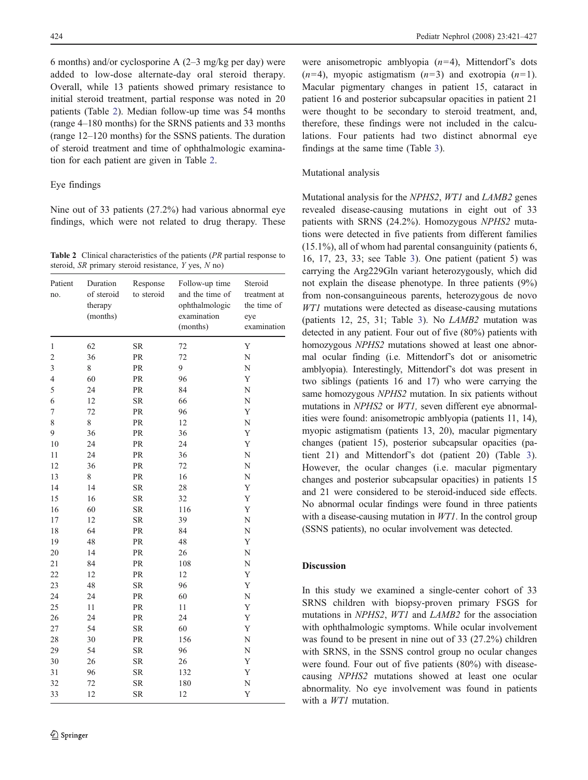6 months) and/or cyclosporine A (2–3 mg/kg per day) were added to low-dose alternate-day oral steroid therapy. Overall, while 13 patients showed primary resistance to initial steroid treatment, partial response was noted in 20 patients (Table 2). Median follow-up time was 54 months (range 4–180 months) for the SRNS patients and 33 months (range 12–120 months) for the SSNS patients. The duration of steroid treatment and time of ophthalmologic examination for each patient are given in Table 2.

## Eye findings

Nine out of 33 patients (27.2%) had various abnormal eye findings, which were not related to drug therapy. These

Table 2 Clinical characteristics of the patients (PR partial response to steroid,  $SR$  primary steroid resistance,  $Y$  yes,  $N$  no)

| Patient<br>no.          | Duration<br>of steroid<br>therapy<br>(months) | Response<br>to steroid | Follow-up time<br>and the time of<br>ophthalmologic<br>examination<br>(months) | Steroid<br>treatment at<br>the time of<br>eye<br>examination |
|-------------------------|-----------------------------------------------|------------------------|--------------------------------------------------------------------------------|--------------------------------------------------------------|
| 1                       | 62                                            | ${\rm SR}$             | 72                                                                             | Y                                                            |
| $\overline{\mathbf{c}}$ | 36                                            | PR                     | 72                                                                             | N                                                            |
| 3                       | 8                                             | PR                     | 9                                                                              | N                                                            |
| $\overline{4}$          | 60                                            | PR                     | 96                                                                             | Y                                                            |
| 5                       | 24                                            | PR                     | 84                                                                             | N                                                            |
| 6                       | 12                                            | <b>SR</b>              | 66                                                                             | N                                                            |
| 7                       | 72                                            | PR                     | 96                                                                             | Y                                                            |
| 8                       | 8                                             | PR                     | 12                                                                             | N                                                            |
| 9                       | 36                                            | PR                     | 36                                                                             | Y                                                            |
| 10                      | 24                                            | PR                     | 24                                                                             | Y                                                            |
| 11                      | 24                                            | PR                     | 36                                                                             | N                                                            |
| 12                      | 36                                            | PR                     | 72                                                                             | N                                                            |
| 13                      | 8                                             | PR                     | 16                                                                             | N                                                            |
| 14                      | 14                                            | <b>SR</b>              | 28                                                                             | Y                                                            |
| 15                      | 16                                            | SR                     | 32                                                                             | Y                                                            |
| 16                      | 60                                            | $\rm SR$               | 116                                                                            | Y                                                            |
| 17                      | 12                                            | <b>SR</b>              | 39                                                                             | N                                                            |
| 18                      | 64                                            | PR                     | 84                                                                             | N                                                            |
| 19                      | 48                                            | PR                     | 48                                                                             | Y                                                            |
| 20                      | 14                                            | PR                     | 26                                                                             | N                                                            |
| 21                      | 84                                            | PR                     | 108                                                                            | N                                                            |
| 22                      | 12                                            | PR                     | 12                                                                             | Y                                                            |
| 23                      | 48                                            | ${\rm SR}$             | 96                                                                             | Y                                                            |
| 24                      | 24                                            | PR                     | 60                                                                             | N                                                            |
| 25                      | 11                                            | PR                     | 11                                                                             | Y                                                            |
| 26                      | 24                                            | PR                     | 24                                                                             | Y                                                            |
| 27                      | 54                                            | ${\rm SR}$             | 60                                                                             | Y                                                            |
| 28                      | 30                                            | PR                     | 156                                                                            | N                                                            |
| 29                      | 54                                            | <b>SR</b>              | 96                                                                             | N                                                            |
| 30                      | 26                                            | <b>SR</b>              | 26                                                                             | Y                                                            |
| 31                      | 96                                            | <b>SR</b>              | 132                                                                            | Y                                                            |
| 32                      | 72                                            | <b>SR</b>              | 180                                                                            | N                                                            |
| 33                      | 12                                            | SR                     | 12                                                                             | Y                                                            |

were anisometropic amblyopia  $(n=4)$ . Mittendorf's dots  $(n=4)$ , myopic astigmatism  $(n=3)$  and exotropia  $(n=1)$ . Macular pigmentary changes in patient 15, cataract in patient 16 and posterior subcapsular opacities in patient 21 were thought to be secondary to steroid treatment, and, therefore, these findings were not included in the calculations. Four patients had two distinct abnormal eye findings at the same time (Table [3](#page-4-0)).

#### Mutational analysis

Mutational analysis for the NPHS2, WT1 and LAMB2 genes revealed disease-causing mutations in eight out of 33 patients with SRNS (24.2%). Homozygous NPHS2 mutations were detected in five patients from different families (15.1%), all of whom had parental consanguinity (patients 6, 16, 17, 23, 33; see Table [3\)](#page-4-0). One patient (patient 5) was carrying the Arg229Gln variant heterozygously, which did not explain the disease phenotype. In three patients (9%) from non-consanguineous parents, heterozygous de novo WT1 mutations were detected as disease-causing mutations (patients 12, 25, 31; Table [3](#page-4-0)). No LAMB2 mutation was detected in any patient. Four out of five (80%) patients with homozygous NPHS2 mutations showed at least one abnormal ocular finding (i.e. Mittendorf's dot or anisometric amblyopia). Interestingly, Mittendorf's dot was present in two siblings (patients 16 and 17) who were carrying the same homozygous *NPHS2* mutation. In six patients without mutations in NPHS2 or WT1, seven different eye abnormalities were found: anisometropic amblyopia (patients 11, 14), myopic astigmatism (patients 13, 20), macular pigmentary changes (patient 15), posterior subcapsular opacities (patient 21) and Mittendorf's dot (patient 20) (Table [3\)](#page-4-0). However, the ocular changes (i.e. macular pigmentary changes and posterior subcapsular opacities) in patients 15 and 21 were considered to be steroid-induced side effects. No abnormal ocular findings were found in three patients with a disease-causing mutation in *WT1*. In the control group (SSNS patients), no ocular involvement was detected.

## Discussion

In this study we examined a single-center cohort of 33 SRNS children with biopsy-proven primary FSGS for mutations in NPHS2, WT1 and LAMB2 for the association with ophthalmologic symptoms. While ocular involvement was found to be present in nine out of 33 (27.2%) children with SRNS, in the SSNS control group no ocular changes were found. Four out of five patients (80%) with diseasecausing NPHS2 mutations showed at least one ocular abnormality. No eye involvement was found in patients with a *WT1* mutation.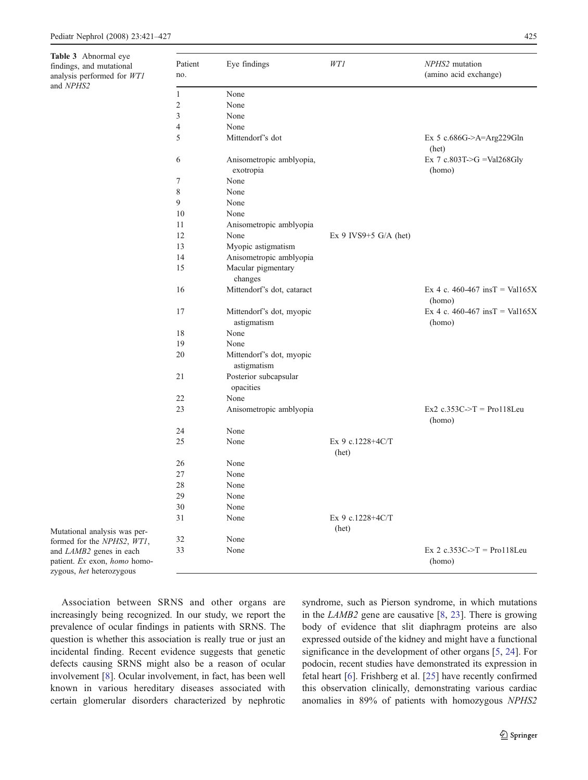<span id="page-4-0"></span>Table 3 Abnormal eye findings, and mutational analysis performed for WT1 and NPHS2

| Patient<br>no. | Eye findings                            | WT1                       | NPHS2 mutation<br>(amino acid exchange)           |
|----------------|-----------------------------------------|---------------------------|---------------------------------------------------|
| 1              | None                                    |                           |                                                   |
| $\overline{2}$ | None                                    |                           |                                                   |
| 3              | None                                    |                           |                                                   |
| $\overline{4}$ | None                                    |                           |                                                   |
| 5              | Mittendorf's dot                        |                           | Ex 5 c.686G->A=Arg229Gln<br>(het)                 |
| 6              | Anisometropic amblyopia,<br>exotropia   |                           | Ex 7 c.803T->G = Val268Gly<br>(homo)              |
| 7              | None                                    |                           |                                                   |
| 8              | None                                    |                           |                                                   |
| 9              | None                                    |                           |                                                   |
| 10             | None                                    |                           |                                                   |
| 11             | Anisometropic amblyopia                 |                           |                                                   |
| 12             | None                                    | Ex 9 IVS9+5 $G/A$ (het)   |                                                   |
| 13             | Myopic astigmatism                      |                           |                                                   |
| 14             | Anisometropic amblyopia                 |                           |                                                   |
| 15             | Macular pigmentary<br>changes           |                           |                                                   |
| 16             | Mittendorf's dot, cataract              |                           | Ex 4 c. 460-467 insT = Val165X<br>(homo)          |
| 17             | Mittendorf's dot, myopic<br>astigmatism |                           | Ex 4 c. 460-467 insT = Val165X<br>(homo)          |
| 18             | None                                    |                           |                                                   |
| 19             | None                                    |                           |                                                   |
| 20             | Mittendorf's dot, myopic<br>astigmatism |                           |                                                   |
| 21             | Posterior subcapsular<br>opacities      |                           |                                                   |
| 22             | None                                    |                           |                                                   |
| 23             | Anisometropic amblyopia                 |                           | $Ex2 c.353C \rightarrow T = Pro118$ Leu<br>(homo) |
| 24             | None                                    |                           |                                                   |
| 25             | None                                    | Ex 9 c.1228+4C/T<br>(het) |                                                   |
| 26             | None                                    |                           |                                                   |
| 27             | None                                    |                           |                                                   |
| 28             | None                                    |                           |                                                   |
| 29             | None                                    |                           |                                                   |
| 30             | None                                    |                           |                                                   |
| 31             | None                                    | Ex 9 c.1228+4C/T<br>(het) |                                                   |
| 32             | None                                    |                           |                                                   |
| 33             | None                                    |                           | Ex 2 c.353C->T = Pro118Leu<br>(homo)              |

Association between SRNS and other organs are increasingly being recognized. In our study, we report the prevalence of ocular findings in patients with SRNS. The question is whether this association is really true or just an incidental finding. Recent evidence suggests that genetic defects causing SRNS might also be a reason of ocular involvement [[8\]](#page-5-0). Ocular involvement, in fact, has been well known in various hereditary diseases associated with certain glomerular disorders characterized by nephrotic

Mutational analysis was performed for the NPHS2, WT1, and LAMB2 genes in each patient. Ex exon, homo homozygous, het heterozygous

> syndrome, such as Pierson syndrome, in which mutations in the LAMB2 gene are causative [[8,](#page-5-0) [23\]](#page-6-0). There is growing body of evidence that slit diaphragm proteins are also expressed outside of the kidney and might have a functional significance in the development of other organs [[5,](#page-5-0) [24](#page-6-0)]. For podocin, recent studies have demonstrated its expression in fetal heart [[6\]](#page-5-0). Frishberg et al. [[25\]](#page-6-0) have recently confirmed this observation clinically, demonstrating various cardiac anomalies in 89% of patients with homozygous NPHS2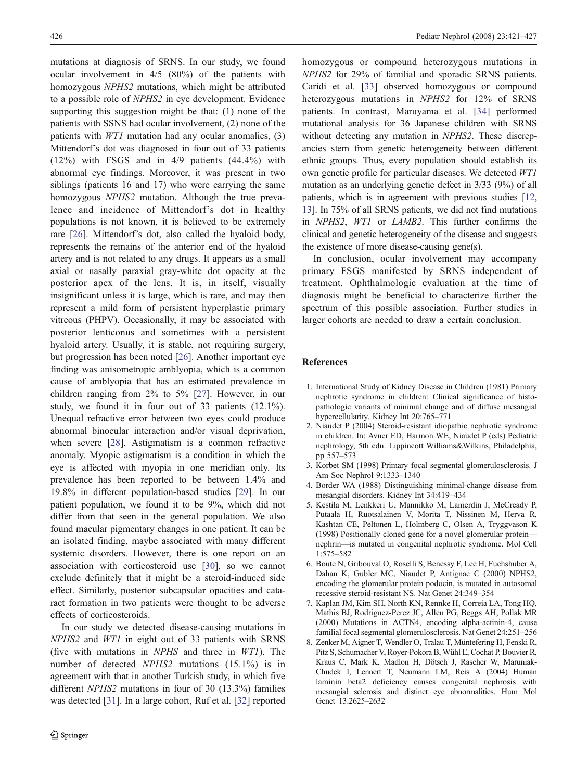<span id="page-5-0"></span>mutations at diagnosis of SRNS. In our study, we found ocular involvement in 4/5 (80%) of the patients with homozygous NPHS2 mutations, which might be attributed to a possible role of NPHS2 in eye development. Evidence supporting this suggestion might be that: (1) none of the patients with SSNS had ocular involvement, (2) none of the patients with WT1 mutation had any ocular anomalies, (3) Mittendorf's dot was diagnosed in four out of 33 patients (12%) with FSGS and in 4/9 patients (44.4%) with abnormal eye findings. Moreover, it was present in two siblings (patients 16 and 17) who were carrying the same homozygous NPHS2 mutation. Although the true prevalence and incidence of Mittendorf's dot in healthy populations is not known, it is believed to be extremely rare [[26\]](#page-6-0). Mittendorf's dot, also called the hyaloid body, represents the remains of the anterior end of the hyaloid artery and is not related to any drugs. It appears as a small axial or nasally paraxial gray-white dot opacity at the posterior apex of the lens. It is, in itself, visually insignificant unless it is large, which is rare, and may then represent a mild form of persistent hyperplastic primary vitreous (PHPV). Occasionally, it may be associated with posterior lenticonus and sometimes with a persistent hyaloid artery. Usually, it is stable, not requiring surgery, but progression has been noted [[26\]](#page-6-0). Another important eye finding was anisometropic amblyopia, which is a common cause of amblyopia that has an estimated prevalence in children ranging from 2% to 5% [\[27](#page-6-0)]. However, in our study, we found it in four out of 33 patients (12.1%). Unequal refractive error between two eyes could produce abnormal binocular interaction and/or visual deprivation, when severe [\[28](#page-6-0)]. Astigmatism is a common refractive anomaly. Myopic astigmatism is a condition in which the eye is affected with myopia in one meridian only. Its prevalence has been reported to be between 1.4% and 19.8% in different population-based studies [[29\]](#page-6-0). In our patient population, we found it to be 9%, which did not differ from that seen in the general population. We also found macular pigmentary changes in one patient. It can be an isolated finding, maybe associated with many different systemic disorders. However, there is one report on an association with corticosteroid use [[30\]](#page-6-0), so we cannot exclude definitely that it might be a steroid-induced side effect. Similarly, posterior subcapsular opacities and cataract formation in two patients were thought to be adverse effects of corticosteroids.

In our study we detected disease-causing mutations in NPHS2 and WT1 in eight out of 33 patients with SRNS (five with mutations in NPHS and three in WT1). The number of detected NPHS2 mutations (15.1%) is in agreement with that in another Turkish study, in which five different NPHS2 mutations in four of 30 (13.3%) families was detected [[31\]](#page-6-0). In a large cohort, Ruf et al. [\[32](#page-6-0)] reported homozygous or compound heterozygous mutations in NPHS2 for 29% of familial and sporadic SRNS patients. Caridi et al. [\[33](#page-6-0)] observed homozygous or compound heterozygous mutations in NPHS2 for 12% of SRNS patients. In contrast, Maruyama et al. [\[34](#page-6-0)] performed mutational analysis for 36 Japanese children with SRNS without detecting any mutation in NPHS2. These discrepancies stem from genetic heterogeneity between different ethnic groups. Thus, every population should establish its own genetic profile for particular diseases. We detected WT1 mutation as an underlying genetic defect in 3/33 (9%) of all patients, which is in agreement with previous studies [\[12,](#page-6-0) [13\]](#page-6-0). In 75% of all SRNS patients, we did not find mutations in NPHS2, WT1 or LAMB2. This further confirms the clinical and genetic heterogeneity of the disease and suggests the existence of more disease-causing gene(s).

In conclusion, ocular involvement may accompany primary FSGS manifested by SRNS independent of treatment. Ophthalmologic evaluation at the time of diagnosis might be beneficial to characterize further the spectrum of this possible association. Further studies in larger cohorts are needed to draw a certain conclusion.

## References

- 1. International Study of Kidney Disease in Children (1981) Primary nephrotic syndrome in children: Clinical significance of histopathologic variants of minimal change and of diffuse mesangial hypercellularity. Kidney Int 20:765–771
- 2. Niaudet P (2004) Steroid-resistant idiopathic nephrotic syndrome in children. In: Avner ED, Harmon WE, Niaudet P (eds) Pediatric nephrology, 5th edn. Lippincott Williams&Wilkins, Philadelphia, pp 557–573
- 3. Korbet SM (1998) Primary focal segmental glomerulosclerosis. J Am Soc Nephrol 9:1333–1340
- 4. Border WA (1988) Distinguishing minimal-change disease from mesangial disorders. Kidney Int 34:419–434
- 5. Kestila M, Lenkkeri U, Mannikko M, Lamerdin J, McCready P, Putaala H, Ruotsalainen V, Morita T, Nissinen M, Herva R, Kashtan CE, Peltonen L, Holmberg C, Olsen A, Tryggvason K (1998) Positionally cloned gene for a novel glomerular protein nephrin—is mutated in congenital nephrotic syndrome. Mol Cell 1:575–582
- 6. Boute N, Gribouval O, Roselli S, Benessy F, Lee H, Fuchshuber A, Dahan K, Gubler MC, Niaudet P, Antignac C (2000) NPHS2, encoding the glomerular protein podocin, is mutated in autosomal recessive steroid-resistant NS. Nat Genet 24:349–354
- 7. Kaplan JM, Kim SH, North KN, Rennke H, Correia LA, Tong HQ, Mathis BJ, Rodriguez-Perez JC, Allen PG, Beggs AH, Pollak MR (2000) Mutations in ACTN4, encoding alpha-actinin-4, cause familial focal segmental glomerulosclerosis. Nat Genet 24:251–256
- 8. Zenker M, Aigner T, Wendler O, Tralau T, Müntefering H, Fenski R, Pitz S, Schumacher V, Royer-Pokora B, Wühl E, Cochat P, Bouvier R, Kraus C, Mark K, Madlon H, Dötsch J, Rascher W, Maruniak-Chudek I, Lennert T, Neumann LM, Reis A (2004) Human laminin beta2 deficiency causes congenital nephrosis with mesangial sclerosis and distinct eye abnormalities. Hum Mol Genet 13:2625–2632